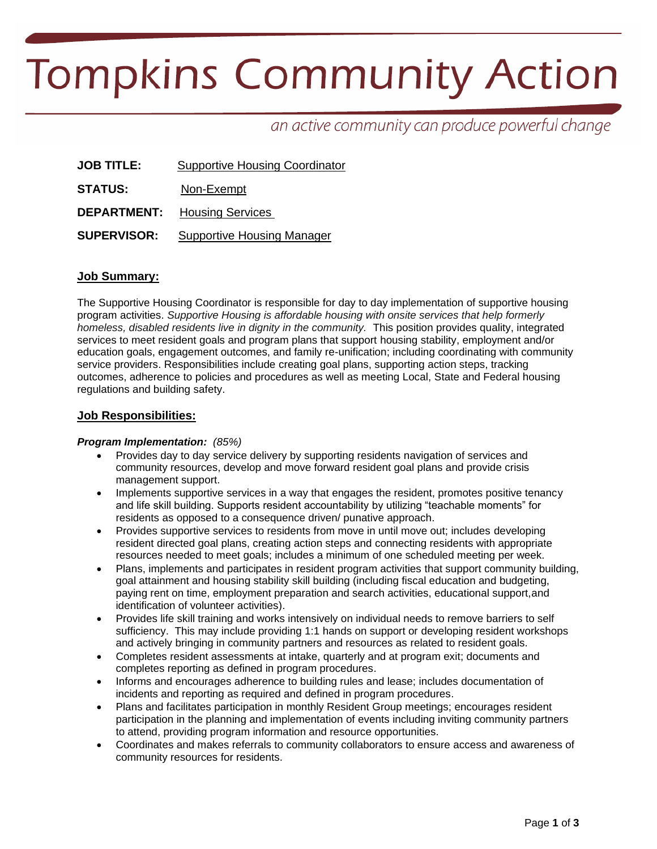# **Tompkins Community Action**

## an active community can produce powerful change

| <b>JOB TITLE:</b>  | <b>Supportive Housing Coordinator</b> |
|--------------------|---------------------------------------|
| STATUS:            | Non-Exempt                            |
|                    | <b>DEPARTMENT:</b> Housing Services   |
| <b>SUPERVISOR:</b> | <b>Supportive Housing Manager</b>     |

#### **Job Summary:**

The Supportive Housing Coordinator is responsible for day to day implementation of supportive housing program activities. *Supportive Housing is affordable housing with onsite services that help formerly homeless, disabled residents live in dignity in the community.* This position provides quality, integrated services to meet resident goals and program plans that support housing stability, employment and/or education goals, engagement outcomes, and family re-unification; including coordinating with community service providers. Responsibilities include creating goal plans, supporting action steps, tracking outcomes, adherence to policies and procedures as well as meeting Local, State and Federal housing regulations and building safety.

#### **Job Responsibilities:**

#### *Program Implementation: (85%)*

- Provides day to day service delivery by supporting residents navigation of services and community resources, develop and move forward resident goal plans and provide crisis management support.
- Implements supportive services in a way that engages the resident, promotes positive tenancy and life skill building. Supports resident accountability by utilizing "teachable moments" for residents as opposed to a consequence driven/ punative approach.
- Provides supportive services to residents from move in until move out; includes developing resident directed goal plans, creating action steps and connecting residents with appropriate resources needed to meet goals; includes a minimum of one scheduled meeting per week.
- Plans, implements and participates in resident program activities that support community building, goal attainment and housing stability skill building (including fiscal education and budgeting, paying rent on time, employment preparation and search activities, educational support,and identification of volunteer activities).
- Provides life skill training and works intensively on individual needs to remove barriers to self sufficiency. This may include providing 1:1 hands on support or developing resident workshops and actively bringing in community partners and resources as related to resident goals.
- Completes resident assessments at intake, quarterly and at program exit; documents and completes reporting as defined in program procedures.
- Informs and encourages adherence to building rules and lease; includes documentation of incidents and reporting as required and defined in program procedures.
- Plans and facilitates participation in monthly Resident Group meetings; encourages resident participation in the planning and implementation of events including inviting community partners to attend, providing program information and resource opportunities.
- Coordinates and makes referrals to community collaborators to ensure access and awareness of community resources for residents.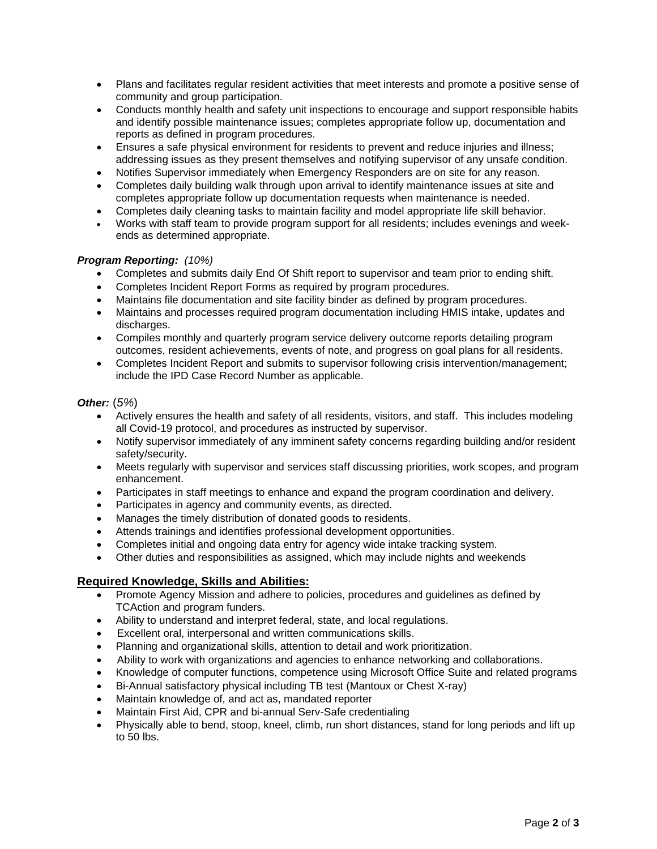- Plans and facilitates regular resident activities that meet interests and promote a positive sense of community and group participation.
- Conducts monthly health and safety unit inspections to encourage and support responsible habits and identify possible maintenance issues; completes appropriate follow up, documentation and reports as defined in program procedures.
- Ensures a safe physical environment for residents to prevent and reduce injuries and illness; addressing issues as they present themselves and notifying supervisor of any unsafe condition.
- Notifies Supervisor immediately when Emergency Responders are on site for any reason.
- Completes daily building walk through upon arrival to identify maintenance issues at site and completes appropriate follow up documentation requests when maintenance is needed.
- Completes daily cleaning tasks to maintain facility and model appropriate life skill behavior.
- Works with staff team to provide program support for all residents; includes evenings and weekends as determined appropriate.

#### *Program Reporting: (10%)*

- Completes and submits daily End Of Shift report to supervisor and team prior to ending shift.
- Completes Incident Report Forms as required by program procedures.
- Maintains file documentation and site facility binder as defined by program procedures.
- Maintains and processes required program documentation including HMIS intake, updates and discharges.
- Compiles monthly and quarterly program service delivery outcome reports detailing program outcomes, resident achievements, events of note, and progress on goal plans for all residents.
- Completes Incident Report and submits to supervisor following crisis intervention/management; include the IPD Case Record Number as applicable.

#### *Other:* (*5%*)

- Actively ensures the health and safety of all residents, visitors, and staff. This includes modeling all Covid-19 protocol, and procedures as instructed by supervisor.
- Notify supervisor immediately of any imminent safety concerns regarding building and/or resident safety/security.
- Meets regularly with supervisor and services staff discussing priorities, work scopes, and program enhancement.
- Participates in staff meetings to enhance and expand the program coordination and delivery.
- Participates in agency and community events, as directed.
- Manages the timely distribution of donated goods to residents.
- Attends trainings and identifies professional development opportunities.
- Completes initial and ongoing data entry for agency wide intake tracking system.
- Other duties and responsibilities as assigned, which may include nights and weekends

#### **Required Knowledge, Skills and Abilities:**

- Promote Agency Mission and adhere to policies, procedures and guidelines as defined by TCAction and program funders.
- Ability to understand and interpret federal, state, and local regulations.
- Excellent oral, interpersonal and written communications skills.
- Planning and organizational skills, attention to detail and work prioritization.
- Ability to work with organizations and agencies to enhance networking and collaborations.
- Knowledge of computer functions, competence using Microsoft Office Suite and related programs
- Bi-Annual satisfactory physical including TB test (Mantoux or Chest X-ray)
- Maintain knowledge of, and act as, mandated reporter
- Maintain First Aid, CPR and bi-annual Serv-Safe credentialing
- Physically able to bend, stoop, kneel, climb, run short distances, stand for long periods and lift up to 50 lbs.